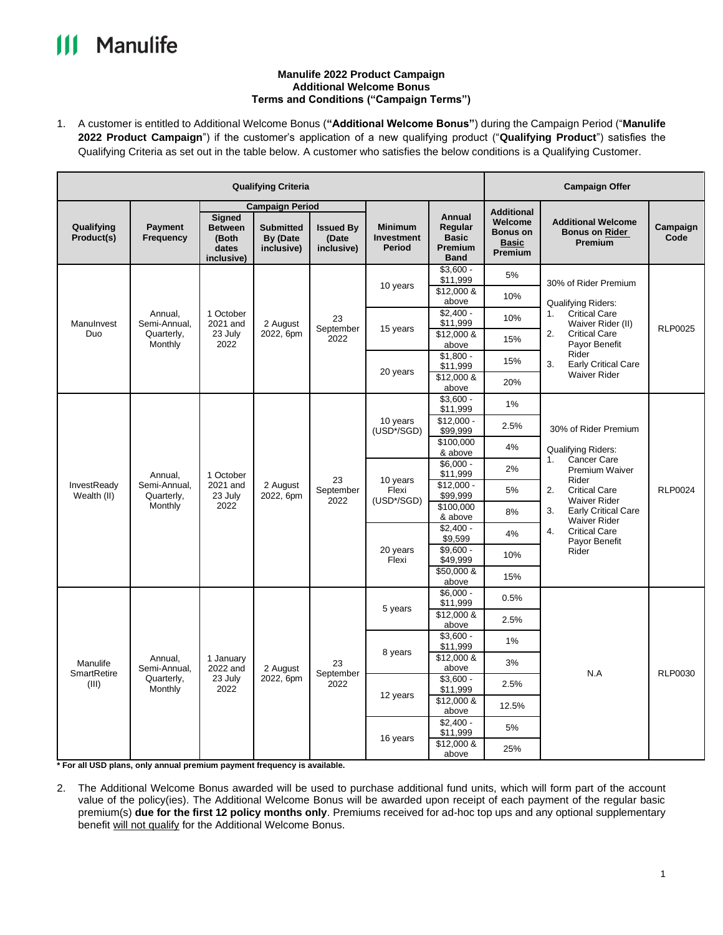## **Manulife** 111

## **Manulife 2022 Product Campaign Additional Welcome Bonus Terms and Conditions ("Campaign Terms")**

1. A customer is entitled to Additional Welcome Bonus (**"Additional Welcome Bonus"**) during the Campaign Period ("**Manulife 2022 Product Campaign**") if the customer's application of a new qualifying product ("**Qualifying Product**") satisfies the Qualifying Criteria as set out in the table below. A customer who satisfies the below conditions is a Qualifying Customer.

| <b>Qualifying Criteria</b>       |                                                  |                                                                 |                                                                      |                                         |                                               |                                                                    | <b>Campaign Offer</b>                                               |                                                                                                                                                                                                                                                                                              |                  |
|----------------------------------|--------------------------------------------------|-----------------------------------------------------------------|----------------------------------------------------------------------|-----------------------------------------|-----------------------------------------------|--------------------------------------------------------------------|---------------------------------------------------------------------|----------------------------------------------------------------------------------------------------------------------------------------------------------------------------------------------------------------------------------------------------------------------------------------------|------------------|
| Qualifying<br>Product(s)         | <b>Payment</b><br>Frequency                      | <b>Signed</b><br><b>Between</b><br>(Both<br>dates<br>inclusive) | <b>Campaign Period</b><br><b>Submitted</b><br>By (Date<br>inclusive) | <b>Issued By</b><br>(Date<br>inclusive) | <b>Minimum</b><br><b>Investment</b><br>Period | <b>Annual</b><br>Regular<br><b>Basic</b><br>Premium<br><b>Band</b> | <b>Additional</b><br>Welcome<br>Bonus on<br><b>Basic</b><br>Premium | <b>Additional Welcome</b><br><b>Bonus on Rider</b><br>Premium                                                                                                                                                                                                                                | Campaign<br>Code |
| Manulnyest<br>Duo                | Annual.<br>Semi-Annual,<br>Quarterly,<br>Monthly | 1 October<br>2021 and<br>23 July<br>2022                        | 2 August<br>2022, 6pm                                                | 23<br>September<br>2022                 | 10 years                                      | $$3,600 -$<br>\$11,999                                             | 5%                                                                  | 30% of Rider Premium<br><b>Qualifying Riders:</b><br><b>Critical Care</b><br>$\mathbf{1}$ .<br>Waiver Rider (II)<br>2.<br><b>Critical Care</b><br>Payor Benefit<br>Rider<br><b>Early Critical Care</b><br>3.<br><b>Waiver Rider</b>                                                          | <b>RLP0025</b>   |
|                                  |                                                  |                                                                 |                                                                      |                                         |                                               | \$12,000 &<br>above                                                | 10%                                                                 |                                                                                                                                                                                                                                                                                              |                  |
|                                  |                                                  |                                                                 |                                                                      |                                         | 15 years                                      | $$2,400 -$<br>\$11,999                                             | 10%                                                                 |                                                                                                                                                                                                                                                                                              |                  |
|                                  |                                                  |                                                                 |                                                                      |                                         |                                               | \$12,000 &<br>above                                                | 15%                                                                 |                                                                                                                                                                                                                                                                                              |                  |
|                                  |                                                  |                                                                 |                                                                      |                                         | 20 years                                      | $$1,800 -$<br>\$11,999                                             | 15%                                                                 |                                                                                                                                                                                                                                                                                              |                  |
|                                  |                                                  |                                                                 |                                                                      |                                         |                                               | \$12,000 &<br>above                                                | 20%                                                                 |                                                                                                                                                                                                                                                                                              |                  |
| InvestReady<br>Wealth (II)       | Annual,<br>Semi-Annual,<br>Quarterly,<br>Monthly | 1 October<br>2021 and<br>23 July<br>2022                        | 2 August<br>2022, 6pm                                                | 23<br>September<br>2022                 | 10 years<br>(USD*/SGD)                        | $$3,600 -$<br>\$11,999                                             | 1%                                                                  | 30% of Rider Premium<br><b>Qualifying Riders:</b><br>Cancer Care<br>1 <sup>1</sup><br><b>Premium Waiver</b><br>Rider<br>2.<br><b>Critical Care</b><br><b>Waiver Rider</b><br><b>Early Critical Care</b><br>3.<br><b>Waiver Rider</b><br><b>Critical Care</b><br>4.<br>Payor Benefit<br>Rider | <b>RLP0024</b>   |
|                                  |                                                  |                                                                 |                                                                      |                                         |                                               | $$12,000 -$<br>\$99,999                                            | 2.5%                                                                |                                                                                                                                                                                                                                                                                              |                  |
|                                  |                                                  |                                                                 |                                                                      |                                         |                                               | \$100.000<br>& above                                               | 4%                                                                  |                                                                                                                                                                                                                                                                                              |                  |
|                                  |                                                  |                                                                 |                                                                      |                                         | 10 years<br>Flexi<br>(USD*/SGD)               | $$6,000 -$<br>\$11,999                                             | 2%                                                                  |                                                                                                                                                                                                                                                                                              |                  |
|                                  |                                                  |                                                                 |                                                                      |                                         |                                               | $$12,000 -$<br>\$99,999                                            | 5%                                                                  |                                                                                                                                                                                                                                                                                              |                  |
|                                  |                                                  |                                                                 |                                                                      |                                         |                                               | \$100.000<br>& above                                               | 8%                                                                  |                                                                                                                                                                                                                                                                                              |                  |
|                                  |                                                  |                                                                 |                                                                      |                                         | 20 years<br>Flexi                             | $$2,400 -$<br>\$9,599                                              | 4%                                                                  |                                                                                                                                                                                                                                                                                              |                  |
|                                  |                                                  |                                                                 |                                                                      |                                         |                                               | $$9,600 -$<br>\$49,999                                             | 10%                                                                 |                                                                                                                                                                                                                                                                                              |                  |
|                                  |                                                  |                                                                 |                                                                      |                                         |                                               | \$50,000 &<br>above                                                | 15%                                                                 |                                                                                                                                                                                                                                                                                              |                  |
| Manulife<br>SmartRetire<br>(III) | Annual.<br>Semi-Annual,<br>Quarterly,<br>Monthly | 1 Januarv<br>2022 and<br>23 July<br>2022                        | 2 August<br>2022, 6pm                                                | 23<br>September<br>2022                 | 5 years                                       | $$6,000 -$<br>\$11,999                                             | 0.5%                                                                | N.A                                                                                                                                                                                                                                                                                          | <b>RLP0030</b>   |
|                                  |                                                  |                                                                 |                                                                      |                                         |                                               | $$12,000$ &<br>above                                               | 2.5%                                                                |                                                                                                                                                                                                                                                                                              |                  |
|                                  |                                                  |                                                                 |                                                                      |                                         | 8 years                                       | $$3,600 -$<br>\$11,999                                             | 1%                                                                  |                                                                                                                                                                                                                                                                                              |                  |
|                                  |                                                  |                                                                 |                                                                      |                                         |                                               | \$12,000 &<br>above                                                | 3%                                                                  |                                                                                                                                                                                                                                                                                              |                  |
|                                  |                                                  |                                                                 |                                                                      |                                         | 12 years                                      | $$3,600 -$<br>\$11,999                                             | 2.5%                                                                |                                                                                                                                                                                                                                                                                              |                  |
|                                  |                                                  |                                                                 |                                                                      |                                         |                                               | $$12,000$ &<br>above                                               | 12.5%                                                               |                                                                                                                                                                                                                                                                                              |                  |
|                                  |                                                  |                                                                 |                                                                      |                                         | 16 years                                      | $$2,400 -$<br>\$11,999                                             | 5%                                                                  |                                                                                                                                                                                                                                                                                              |                  |
|                                  |                                                  |                                                                 |                                                                      |                                         |                                               | \$12,000 &<br>above                                                | 25%                                                                 |                                                                                                                                                                                                                                                                                              |                  |

**\* For all USD plans, only annual premium payment frequency is available.**

2. The Additional Welcome Bonus awarded will be used to purchase additional fund units, which will form part of the account value of the policy(ies). The Additional Welcome Bonus will be awarded upon receipt of each payment of the regular basic premium(s) **due for the first 12 policy months only**. Premiums received for ad-hoc top ups and any optional supplementary benefit will not qualify for the Additional Welcome Bonus.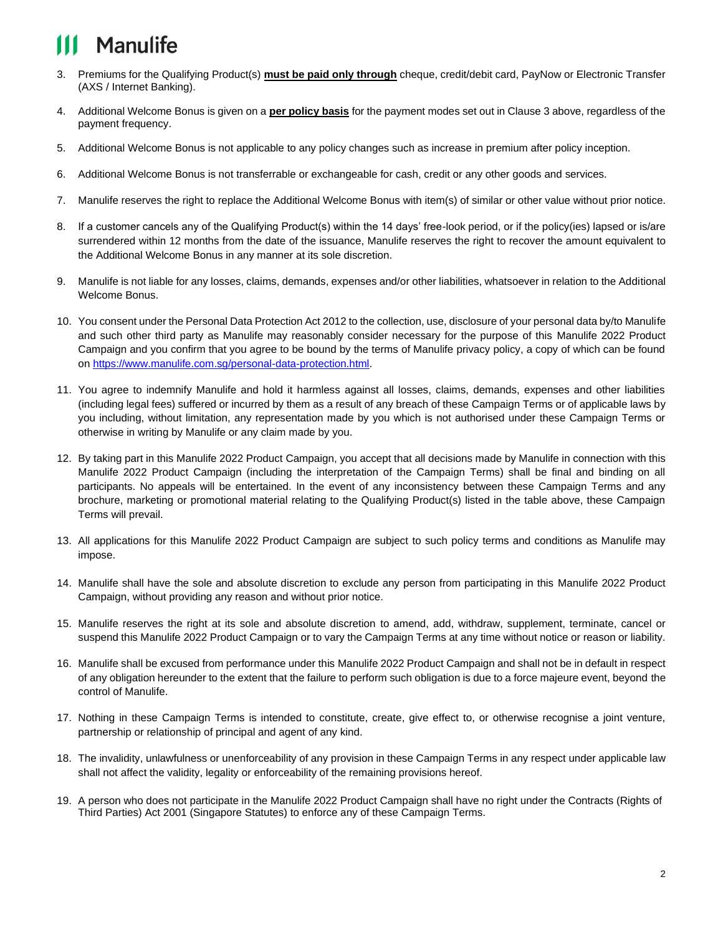## **Manulife**

- 3. Premiums for the Qualifying Product(s) **must be paid only through** cheque, credit/debit card, PayNow or Electronic Transfer (AXS / Internet Banking).
- 4. Additional Welcome Bonus is given on a **per policy basis** for the payment modes set out in Clause 3 above, regardless of the payment frequency.
- 5. Additional Welcome Bonus is not applicable to any policy changes such as increase in premium after policy inception.
- 6. Additional Welcome Bonus is not transferrable or exchangeable for cash, credit or any other goods and services.
- 7. Manulife reserves the right to replace the Additional Welcome Bonus with item(s) of similar or other value without prior notice.
- 8. If a customer cancels any of the Qualifying Product(s) within the 14 days' free-look period, or if the policy(ies) lapsed or is/are surrendered within 12 months from the date of the issuance, Manulife reserves the right to recover the amount equivalent to the Additional Welcome Bonus in any manner at its sole discretion.
- 9. Manulife is not liable for any losses, claims, demands, expenses and/or other liabilities, whatsoever in relation to the Additional Welcome Bonus.
- 10. You consent under the Personal Data Protection Act 2012 to the collection, use, disclosure of your personal data by/to Manulife and such other third party as Manulife may reasonably consider necessary for the purpose of this Manulife 2022 Product Campaign and you confirm that you agree to be bound by the terms of Manulife privacy policy, a copy of which can be found o[n https://www.manulife.com.sg/personal-data-protection.html.](https://www.manulife.com.sg/personal-data-protection.html)
- 11. You agree to indemnify Manulife and hold it harmless against all losses, claims, demands, expenses and other liabilities (including legal fees) suffered or incurred by them as a result of any breach of these Campaign Terms or of applicable laws by you including, without limitation, any representation made by you which is not authorised under these Campaign Terms or otherwise in writing by Manulife or any claim made by you.
- 12. By taking part in this Manulife 2022 Product Campaign, you accept that all decisions made by Manulife in connection with this Manulife 2022 Product Campaign (including the interpretation of the Campaign Terms) shall be final and binding on all participants. No appeals will be entertained. In the event of any inconsistency between these Campaign Terms and any brochure, marketing or promotional material relating to the Qualifying Product(s) listed in the table above, these Campaign Terms will prevail.
- 13. All applications for this Manulife 2022 Product Campaign are subject to such policy terms and conditions as Manulife may impose.
- 14. Manulife shall have the sole and absolute discretion to exclude any person from participating in this Manulife 2022 Product Campaign, without providing any reason and without prior notice.
- 15. Manulife reserves the right at its sole and absolute discretion to amend, add, withdraw, supplement, terminate, cancel or suspend this Manulife 2022 Product Campaign or to vary the Campaign Terms at any time without notice or reason or liability.
- 16. Manulife shall be excused from performance under this Manulife 2022 Product Campaign and shall not be in default in respect of any obligation hereunder to the extent that the failure to perform such obligation is due to a force majeure event, beyond the control of Manulife.
- 17. Nothing in these Campaign Terms is intended to constitute, create, give effect to, or otherwise recognise a joint venture, partnership or relationship of principal and agent of any kind.
- 18. The invalidity, unlawfulness or unenforceability of any provision in these Campaign Terms in any respect under applicable law shall not affect the validity, legality or enforceability of the remaining provisions hereof.
- 19. A person who does not participate in the Manulife 2022 Product Campaign shall have no right under the Contracts (Rights of Third Parties) Act 2001 (Singapore Statutes) to enforce any of these Campaign Terms.